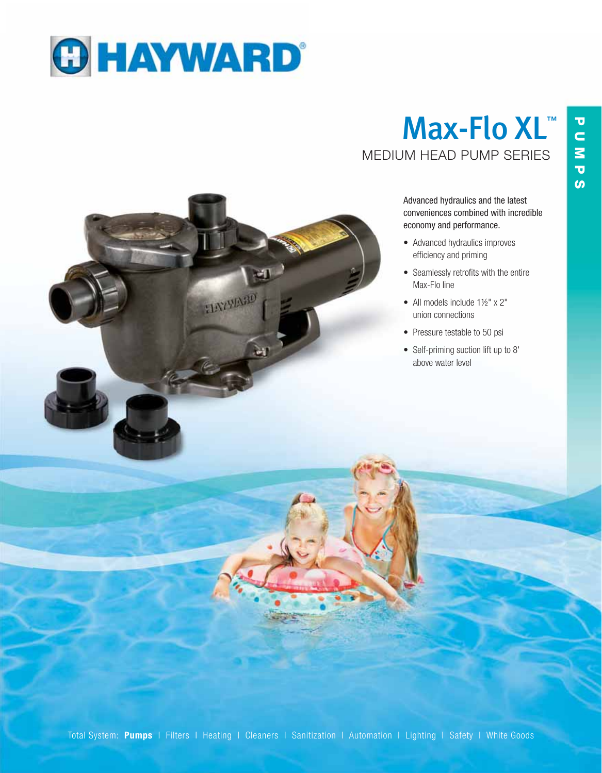

HAYWARD

 $\mathbf{H}$ 

## MEDIUM HEAD PUMP SERIES Max-Flo XL™

Advanced hydraulics and the latest conveniences combined with incredible economy and performance.

- Advanced hydraulics improves efficiency and priming
- $\bullet$  Seamlessly retrofits with the entire Max-Flo line
- All models include 1½" x 2" union connections
- Pressure testable to 50 psi
- Self-priming suction lift up to 8' above water level

Total System: **Pumps** I Filters I Heating I Cleaners I Sanitization I Automation I Lighting I Safety I White Goods